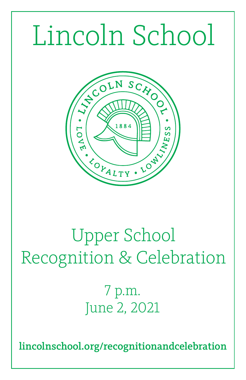# Lincoln School



# Upper School Recognition & Celebration

7 p.m. June 2, 2021

lincolnschool.org/recognitionandcelebration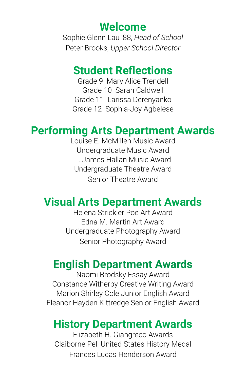#### **Welcome**

Sophie Glenn Lau '88, *Head of School* Peter Brooks, *Upper School Director*

#### **Student Reflections**

Grade 9 Mary Alice Trendell Grade 10 Sarah Caldwell Grade 11 Larissa Derenyanko Grade 12 Sophia-Joy Agbelese

## **Performing Arts Department Awards**

Louise E. McMillen Music Award Undergraduate Music Award T. James Hallan Music Award Undergraduate Theatre Award Senior Theatre Award

# **Visual Arts Department Awards**

Helena Strickler Poe Art Award Edna M. Martin Art Award Undergraduate Photography Award Senior Photography Award

# **English Department Awards**

Naomi Brodsky Essay Award Constance Witherby Creative Writing Award Marion Shirley Cole Junior English Award Eleanor Hayden Kittredge Senior English Award

### **History Department Awards**

Elizabeth H. Giangreco Awards Claiborne Pell United States History Medal Frances Lucas Henderson Award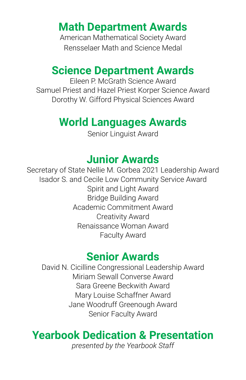# **Math Department Awards**

American Mathematical Society Award Rensselaer Math and Science Medal

#### **Science Department Awards**

Eileen P. McGrath Science Award Samuel Priest and Hazel Priest Korper Science Award Dorothy W. Gifford Physical Sciences Award

#### **World Languages Awards**

Senior Linguist Award

#### **Junior Awards**

Secretary of State Nellie M. Gorbea 2021 Leadership Award Isador S. and Cecile Low Community Service Award Spirit and Light Award Bridge Building Award Academic Commitment Award Creativity Award Renaissance Woman Award Faculty Award

#### **Senior Awards**

David N. Cicilline Congressional Leadership Award Miriam Sewall Converse Award Sara Greene Beckwith Award Mary Louise Schaffner Award Jane Woodruff Greenough Award Senior Faculty Award

# **Yearbook Dedication & Presentation**

*presented by the Yearbook Staff*